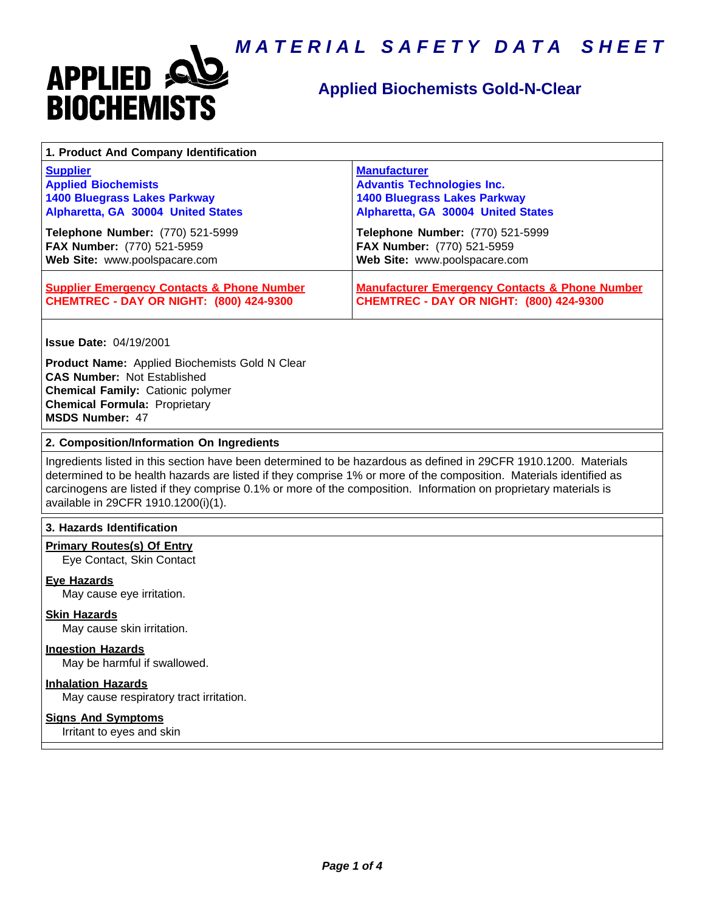

### **Applied Biochemists Gold-N-Clear**

| 1. Product And Company Identification                                                                   |                                                                                                             |
|---------------------------------------------------------------------------------------------------------|-------------------------------------------------------------------------------------------------------------|
| <b>Supplier</b>                                                                                         | <b>Manufacturer</b>                                                                                         |
| <b>Applied Biochemists</b>                                                                              | <b>Advantis Technologies Inc.</b>                                                                           |
| <b>1400 Bluegrass Lakes Parkway</b>                                                                     | <b>1400 Bluegrass Lakes Parkway</b>                                                                         |
| Alpharetta, GA 30004 United States                                                                      | Alpharetta, GA 30004 United States                                                                          |
| Telephone Number: (770) 521-5999                                                                        | Telephone Number: (770) 521-5999                                                                            |
| FAX Number: (770) 521-5959                                                                              | FAX Number: (770) 521-5959                                                                                  |
| Web Site: www.poolspacare.com                                                                           | Web Site: www.poolspacare.com                                                                               |
| <b>Supplier Emergency Contacts &amp; Phone Number</b><br><b>CHEMTREC - DAY OR NIGHT: (800) 424-9300</b> | <b>Manufacturer Emergency Contacts &amp; Phone Number</b><br><b>CHEMTREC - DAY OR NIGHT: (800) 424-9300</b> |

**Issue Date:** 04/19/2001

**Product Name:** Applied Biochemists Gold N Clear **CAS Number:** Not Established **Chemical Family:** Cationic polymer **Chemical Formula:** Proprietary **MSDS Number:** 47

#### **2. Composition/Information On Ingredients**

Ingredients listed in this section have been determined to be hazardous as defined in 29CFR 1910.1200. Materials determined to be health hazards are listed if they comprise 1% or more of the composition. Materials identified as carcinogens are listed if they comprise 0.1% or more of the composition. Information on proprietary materials is available in 29CFR 1910.1200(i)(1).

#### **3. Hazards Identification**

#### **Primary Routes(s) Of Entry**

Eye Contact, Skin Contact

#### **Eye Hazards**

May cause eye irritation.

#### **Skin Hazards**

May cause skin irritation.

#### **Ingestion Hazards**

May be harmful if swallowed.

#### **Inhalation Hazards**

May cause respiratory tract irritation.

#### **Signs And Symptoms**

Irritant to eyes and skin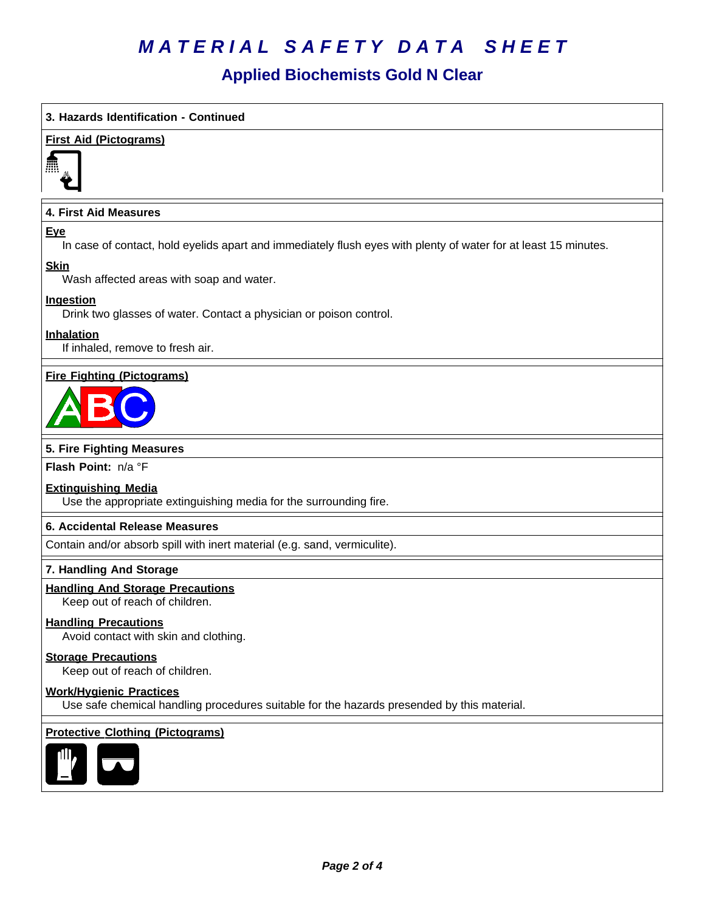### **Applied Biochemists Gold N Clear**

#### **3. Hazards Identification - Continued**

#### **First Aid (Pictograms)**



#### **4. First Aid Measures**

#### **Eye**

In case of contact, hold eyelids apart and immediately flush eyes with plenty of water for at least 15 minutes.

#### **Skin**

Wash affected areas with soap and water.

#### **Ingestion**

Drink two glasses of water. Contact a physician or poison control.

#### **Inhalation**

If inhaled, remove to fresh air.

#### **Fire Fighting (Pictograms)**



#### **5. Fire Fighting Measures**

**Flash Point:** n/a°F

#### **Extinguishing Media**

Use the appropriate extinguishing media for the surrounding fire.

#### **6.Accidental ReleaseMeasures**

Contain and/or absorb spill with inert material (e.g. sand, vermiculite).

#### **7. Handling And Storage**

#### **Handling And Storage Precautions**

Keep out of reach of children.

#### **Handling Precautions**

Avoid contact with skin and clothing.

#### **Storage Precautions**

Keep out of reach of children.

#### **Work/Hygienic Practices**

Use safe chemical handling procedures suitable for the hazards presended by this material.

#### **Protective Clothing (Pictograms)**

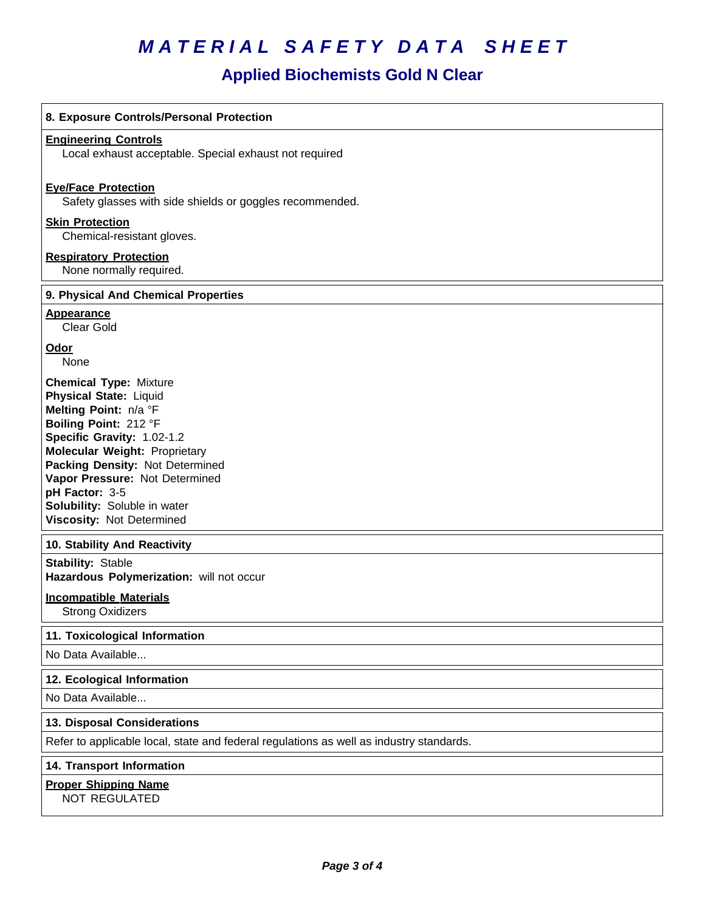## **Applied Biochemists Gold N Clear**

| 8. Exposure Controls/Personal Protection                                                                                                                                                                                                                                                                                                   |
|--------------------------------------------------------------------------------------------------------------------------------------------------------------------------------------------------------------------------------------------------------------------------------------------------------------------------------------------|
| <b>Engineering Controls</b><br>Local exhaust acceptable. Special exhaust not required                                                                                                                                                                                                                                                      |
| <b>Eve/Face Protection</b><br>Safety glasses with side shields or goggles recommended.                                                                                                                                                                                                                                                     |
| <b>Skin Protection</b><br>Chemical-resistant gloves.                                                                                                                                                                                                                                                                                       |
| <b>Respiratory Protection</b><br>None normally required.                                                                                                                                                                                                                                                                                   |
| 9. Physical And Chemical Properties                                                                                                                                                                                                                                                                                                        |
| <b>Appearance</b><br>Clear Gold                                                                                                                                                                                                                                                                                                            |
| Odor<br>None                                                                                                                                                                                                                                                                                                                               |
| <b>Chemical Type: Mixture</b><br><b>Physical State: Liquid</b><br>Melting Point: n/a °F<br>Boiling Point: 212 °F<br>Specific Gravity: 1.02-1.2<br><b>Molecular Weight: Proprietary</b><br>Packing Density: Not Determined<br>Vapor Pressure: Not Determined<br>pH Factor: 3-5<br>Solubility: Soluble in water<br>Viscosity: Not Determined |
| 10. Stability And Reactivity                                                                                                                                                                                                                                                                                                               |
| <b>Stability: Stable</b><br>Hazardous Polymerization: will not occur                                                                                                                                                                                                                                                                       |
| <b>Incompatible Materials</b><br><b>Strong Oxidizers</b>                                                                                                                                                                                                                                                                                   |
| 11. Toxicological Information                                                                                                                                                                                                                                                                                                              |
| No Data Available                                                                                                                                                                                                                                                                                                                          |
| 12. Ecological Information                                                                                                                                                                                                                                                                                                                 |
| No Data Available                                                                                                                                                                                                                                                                                                                          |
| 13. Disposal Considerations                                                                                                                                                                                                                                                                                                                |
| Refer to applicable local, state and federal regulations as well as industry standards.                                                                                                                                                                                                                                                    |
| 14. Transport Information                                                                                                                                                                                                                                                                                                                  |
| <b>Proper Shipping Name</b><br>NOT REGULATED                                                                                                                                                                                                                                                                                               |